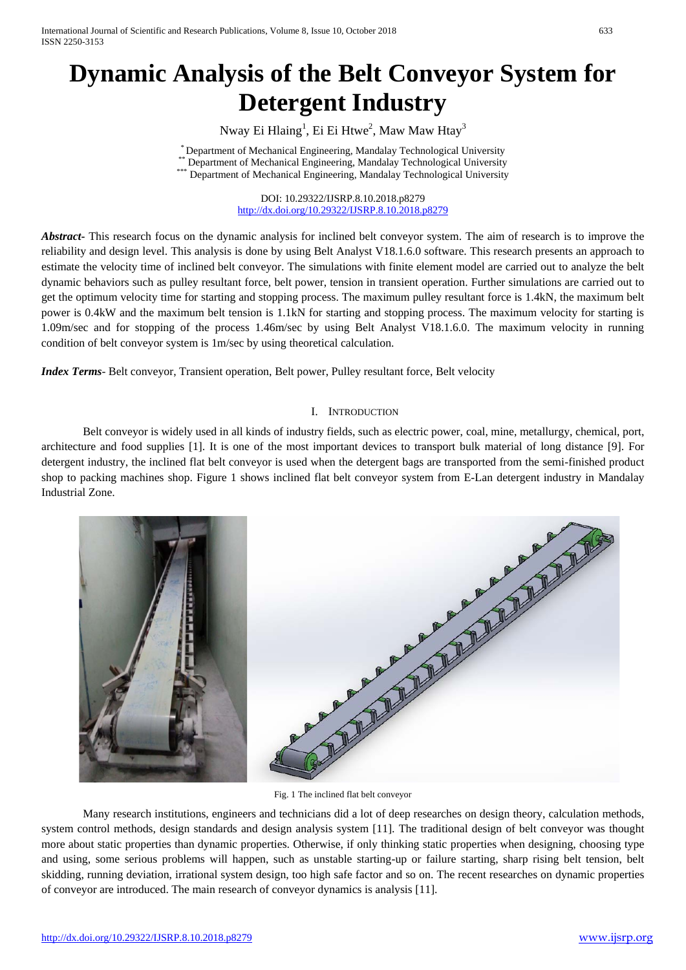# **Dynamic Analysis of the Belt Conveyor System for Detergent Industry**

Nway Ei Hlaing $^{\rm l}$ , Ei Ei Htwe $^{\rm 2}$ , Maw Maw Htay $^{\rm 3}$ 

\* Department of Mechanical Engineering, Mandalay Technological University \*\* Department of Mechanical Engineering, Mandalay Technological University \*\*\* Department of Mechanical Engineering, Mandalay Technological University

DOI: 10.29322/IJSRP.8.10.2018.p8279 <http://dx.doi.org/10.29322/IJSRP.8.10.2018.p8279>

*Abstract***-** This research focus on the dynamic analysis for inclined belt conveyor system. The aim of research is to improve the reliability and design level. This analysis is done by using Belt Analyst V18.1.6.0 software. This research presents an approach to estimate the velocity time of inclined belt conveyor. The simulations with finite element model are carried out to analyze the belt dynamic behaviors such as pulley resultant force, belt power, tension in transient operation. Further simulations are carried out to get the optimum velocity time for starting and stopping process. The maximum pulley resultant force is 1.4kN, the maximum belt power is 0.4kW and the maximum belt tension is 1.1kN for starting and stopping process. The maximum velocity for starting is 1.09m/sec and for stopping of the process 1.46m/sec by using Belt Analyst V18.1.6.0. The maximum velocity in running condition of belt conveyor system is 1m/sec by using theoretical calculation.

*Index Terms*- Belt conveyor, Transient operation, Belt power, Pulley resultant force, Belt velocity

## I. INTRODUCTION

Belt conveyor is widely used in all kinds of industry fields, such as electric power, coal, mine, metallurgy, chemical, port, architecture and food supplies [1]. It is one of the most important devices to transport bulk material of long distance [9]. For detergent industry, the inclined flat belt conveyor is used when the detergent bags are transported from the semi-finished product shop to packing machines shop. Figure 1 shows inclined flat belt conveyor system from E-Lan detergent industry in Mandalay Industrial Zone.



Fig. 1 The inclined flat belt conveyor

Many research institutions, engineers and technicians did a lot of deep researches on design theory, calculation methods, system control methods, design standards and design analysis system [11]. The traditional design of belt conveyor was thought more about static properties than dynamic properties. Otherwise, if only thinking static properties when designing, choosing type and using, some serious problems will happen, such as unstable starting-up or failure starting, sharp rising belt tension, belt skidding, running deviation, irrational system design, too high safe factor and so on. The recent researches on dynamic properties of conveyor are introduced. The main research of conveyor dynamics is analysis [11].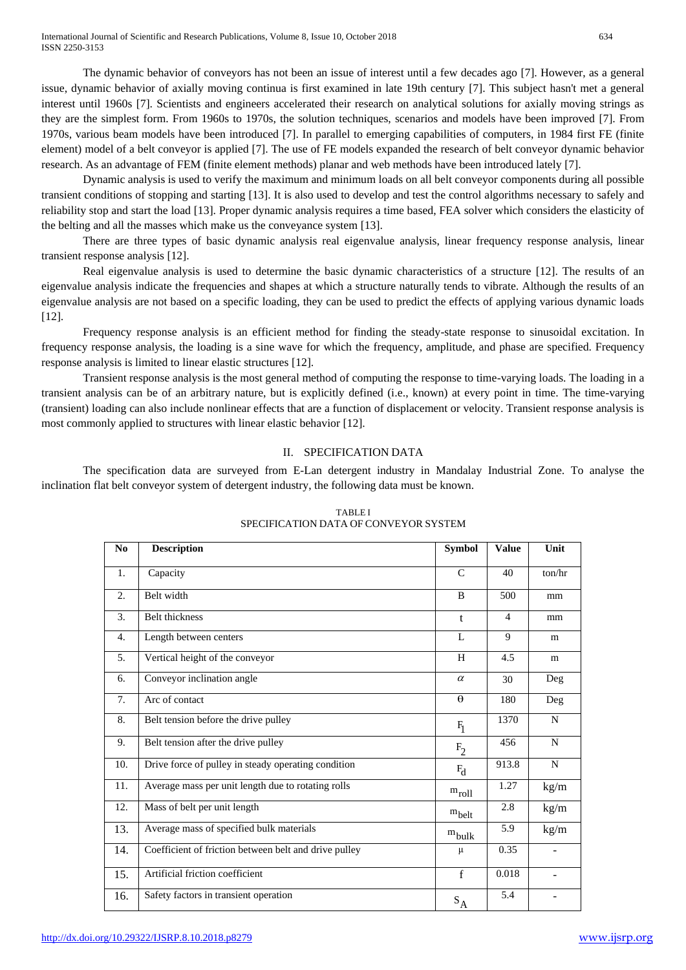The dynamic behavior of conveyors has not been an issue of interest until a few decades ago [7]. However, as a general issue, dynamic behavior of axially moving continua is first examined in late 19th century [7]. This subject hasn't met a general interest until 1960s [7]. Scientists and engineers accelerated their research on analytical solutions for axially moving strings as they are the simplest form. From 1960s to 1970s, the solution techniques, scenarios and models have been improved [7]. From 1970s, various beam models have been introduced [7]. In parallel to emerging capabilities of computers, in 1984 first FE (finite element) model of a belt conveyor is applied [7]. The use of FE models expanded the research of belt conveyor dynamic behavior research. As an advantage of FEM (finite element methods) planar and web methods have been introduced lately [7].

Dynamic analysis is used to verify the maximum and minimum loads on all belt conveyor components during all possible transient conditions of stopping and starting [13]. It is also used to develop and test the control algorithms necessary to safely and reliability stop and start the load [13]. Proper dynamic analysis requires a time based, FEA solver which considers the elasticity of the belting and all the masses which make us the conveyance system [13].

There are three types of basic dynamic analysis real eigenvalue analysis, linear frequency response analysis, linear transient response analysis [12].

Real eigenvalue analysis is used to determine the basic dynamic characteristics of a structure [12]. The results of an eigenvalue analysis indicate the frequencies and shapes at which a structure naturally tends to vibrate. Although the results of an eigenvalue analysis are not based on a specific loading, they can be used to predict the effects of applying various dynamic loads [12].

Frequency response analysis is an efficient method for finding the steady-state response to sinusoidal excitation. In frequency response analysis, the loading is a sine wave for which the frequency, amplitude, and phase are specified. Frequency response analysis is limited to linear elastic structures [12].

Transient response analysis is the most general method of computing the response to time-varying loads. The loading in a transient analysis can be of an arbitrary nature, but is explicitly defined (i.e., known) at every point in time. The time-varying (transient) loading can also include nonlinear effects that are a function of displacement or velocity. Transient response analysis is most commonly applied to structures with linear elastic behavior [12].

### II. SPECIFICATION DATA

The specification data are surveyed from E-Lan detergent industry in Mandalay Industrial Zone. To analyse the inclination flat belt conveyor system of detergent industry, the following data must be known.

| N <sub>0</sub> | <b>Description</b>                                    |                   | <b>Value</b>   | Unit                     |
|----------------|-------------------------------------------------------|-------------------|----------------|--------------------------|
| 1.             | Capacity                                              | $\mathcal{C}$     | 40             | ton/hr                   |
| 2.             | Belt width                                            | B                 | 500            | mm                       |
| 3.             | <b>Belt</b> thickness                                 | $\mathbf{t}$      | $\overline{4}$ | mm                       |
| 4.             | Length between centers                                | L                 | 9              | m                        |
| 5.             | Vertical height of the conveyor                       | H                 | 4.5            | m                        |
| 6.             | Conveyor inclination angle                            | $\alpha$          | 30             | Deg                      |
| 7.             | Arc of contact                                        | $\theta$          | 180            | Deg                      |
| 8.             | Belt tension before the drive pulley                  | $F_1$             | 1370           | N                        |
| 9.             | Belt tension after the drive pulley                   | F <sub>2</sub>    | 456            | N                        |
| 10.            | Drive force of pulley in steady operating condition   | $F_d$             | 913.8          | N                        |
| 11.            | Average mass per unit length due to rotating rolls    | $m_{roll}$        | 1.27           | kg/m                     |
| 12.            | Mass of belt per unit length                          | $m_{\text{belt}}$ | 2.8            | kg/m                     |
| 13.            | Average mass of specified bulk materials              | $m_{\text{bulk}}$ | 5.9            | kg/m                     |
| 14.            | Coefficient of friction between belt and drive pulley | μ                 | 0.35           | $\overline{\phantom{a}}$ |
| 15.            | Artificial friction coefficient                       | f                 | 0.018          | $\overline{\phantom{a}}$ |
| 16.            | Safety factors in transient operation                 | $S_A$             | 5.4            |                          |

# TABLE I SPECIFICATION DATA OF CONVEYOR SYSTEM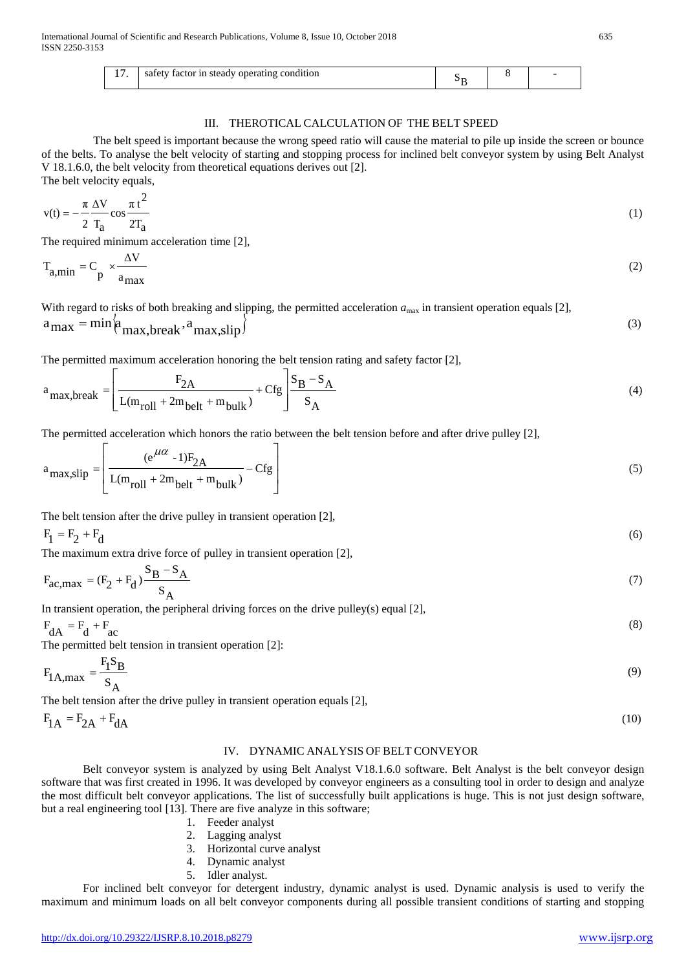|  | tactor in steady operating condition<br>safety |  |  |  |  |
|--|------------------------------------------------|--|--|--|--|
|--|------------------------------------------------|--|--|--|--|

#### III. THEROTICAL CALCULATION OF THE BELT SPEED

The belt speed is important because the wrong speed ratio will cause the material to pile up inside the screen or bounce of the belts. To analyse the belt velocity of starting and stopping process for inclined belt conveyor system by using Belt Analyst V 18.1.6.0, the belt velocity from theoretical equations derives out [2]. The belt velocity equals,

$$
v(t) = -\frac{\pi \Delta V}{2} \cos \frac{\pi t^2}{2T_a} \tag{1}
$$

The required minimum acceleration time [2],

$$
T_{a,min} = C_p \times \frac{\Delta V}{a_{max}} \tag{2}
$$

With regard to risks of both breaking and slipping, the permitted acceleration  $a_{\text{max}}$  in transient operation equals [2],

$$
a_{\text{max}} = \min \left( a_{\text{max,break}} a_{\text{max,slip}} \right) \tag{3}
$$

The permitted maximum acceleration honoring the belt tension rating and safety factor [2],

$$
a_{\text{max,break}} = \left[ \frac{F_{2A}}{L(m_{\text{roll}} + 2m_{\text{belt}} + m_{\text{bulk}})} + \text{Cfg} \right] \frac{S_B - S_A}{S_A} \tag{4}
$$

The permitted acceleration which honors the ratio between the belt tension before and after drive pulley [2],

$$
a_{\text{max,slip}} = \left[ \frac{e^{\mu \alpha} - 1)F_{2A}}{L(m_{\text{roll}} + 2m_{\text{belt}} + m_{\text{bulk}})} - Cfg \right]
$$
(5)

The belt tension after the drive pulley in transient operation [2],

$$
\mathbf{F}_1 = \mathbf{F}_2 + \mathbf{F}_d \tag{6}
$$

The maximum extra drive force of pulley in transient operation [2],

$$
F_{ac,max} = (F_2 + F_d) \frac{S_B - S_A}{S_A}
$$
 (7)

In transient operation, the peripheral driving forces on the drive pulley(s) equal  $[2]$ ,

$$
F_{dA} = F_d + F_{ac}
$$
  
The permitted belt tension in transient operation [2]:

$$
F_{1A,max} = \frac{F_1 S_B}{S_A} \tag{9}
$$

The belt tension after the drive pulley in transient operation equals [2],

 $F_{1A} = F_{2A} + F_{dA}$  (10)

#### IV. DYNAMIC ANALYSIS OF BELT CONVEYOR

Belt conveyor system is analyzed by using Belt Analyst V18.1.6.0 software. Belt Analyst is the belt conveyor design software that was first created in 1996. It was developed by conveyor engineers as a consulting tool in order to design and analyze the most difficult belt conveyor applications. The list of successfully built applications is huge. This is not just design software, but a real engineering tool [13]. There are five analyze in this software;

- 1. Feeder analyst
- 2. Lagging analyst
- 3. Horizontal curve analyst
- 4. Dynamic analyst
- 5. Idler analyst.

For inclined belt conveyor for detergent industry, dynamic analyst is used. Dynamic analysis is used to verify the maximum and minimum loads on all belt conveyor components during all possible transient conditions of starting and stopping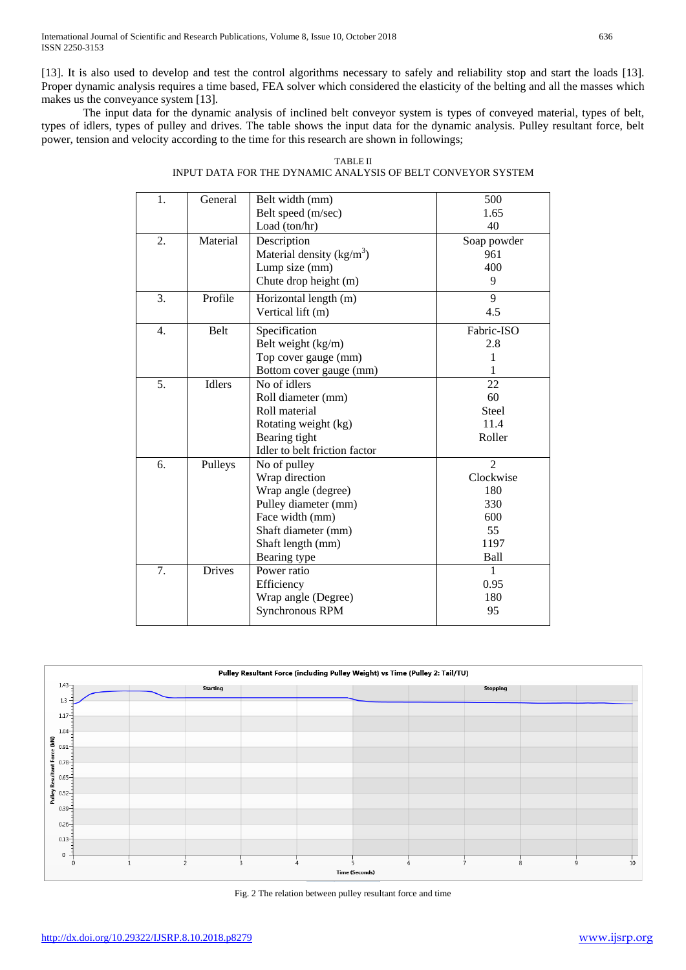[13]. It is also used to develop and test the control algorithms necessary to safely and reliability stop and start the loads [13]. Proper dynamic analysis requires a time based, FEA solver which considered the elasticity of the belting and all the masses which makes us the conveyance system [13].

The input data for the dynamic analysis of inclined belt conveyor system is types of conveyed material, types of belt, types of idlers, types of pulley and drives. The table shows the input data for the dynamic analysis. Pulley resultant force, belt power, tension and velocity according to the time for this research are shown in followings;

| 1.               | General       | Belt width (mm)               | 500            |
|------------------|---------------|-------------------------------|----------------|
|                  |               | Belt speed (m/sec)            | 1.65           |
|                  |               | Load (ton/hr)                 | 40             |
| 2.               | Material      | Description                   | Soap powder    |
|                  |               | Material density $(kg/m3)$    | 961            |
|                  |               | Lump size (mm)                | 400            |
|                  |               | Chute drop height (m)         | 9              |
| 3.               | Profile       | Horizontal length (m)         | 9              |
|                  |               | Vertical lift (m)             | 4.5            |
| $\overline{4}$ . | <b>Belt</b>   | Specification                 | Fabric-ISO     |
|                  |               | Belt weight (kg/m)            | 2.8            |
|                  |               | Top cover gauge (mm)          | 1              |
|                  |               | Bottom cover gauge (mm)       |                |
| 5.               | <b>Idlers</b> | No of idlers                  | 22             |
|                  |               | Roll diameter (mm)            | 60             |
|                  |               | Roll material                 | Steel          |
|                  |               | Rotating weight (kg)          | 11.4           |
|                  |               | Bearing tight                 | Roller         |
|                  |               | Idler to belt friction factor |                |
| 6.               | Pulleys       | No of pulley                  | $\overline{2}$ |
|                  |               | Wrap direction                | Clockwise      |
|                  |               | Wrap angle (degree)           | 180            |
|                  |               | Pulley diameter (mm)          | 330            |
|                  |               | Face width (mm)               | 600            |
|                  |               | Shaft diameter (mm)           | 55             |
|                  |               | Shaft length (mm)             | 1197           |
|                  |               | Bearing type                  | Ball           |
| 7.               | <b>Drives</b> | Power ratio                   | 1              |
|                  |               | Efficiency                    | 0.95           |
|                  |               | Wrap angle (Degree)           | 180            |
|                  |               | Synchronous RPM               | 95             |
|                  |               |                               |                |

TABLE II INPUT DATA FOR THE DYNAMIC ANALYSIS OF BELT CONVEYOR SYSTEM



Fig. 2 The relation between pulley resultant force and time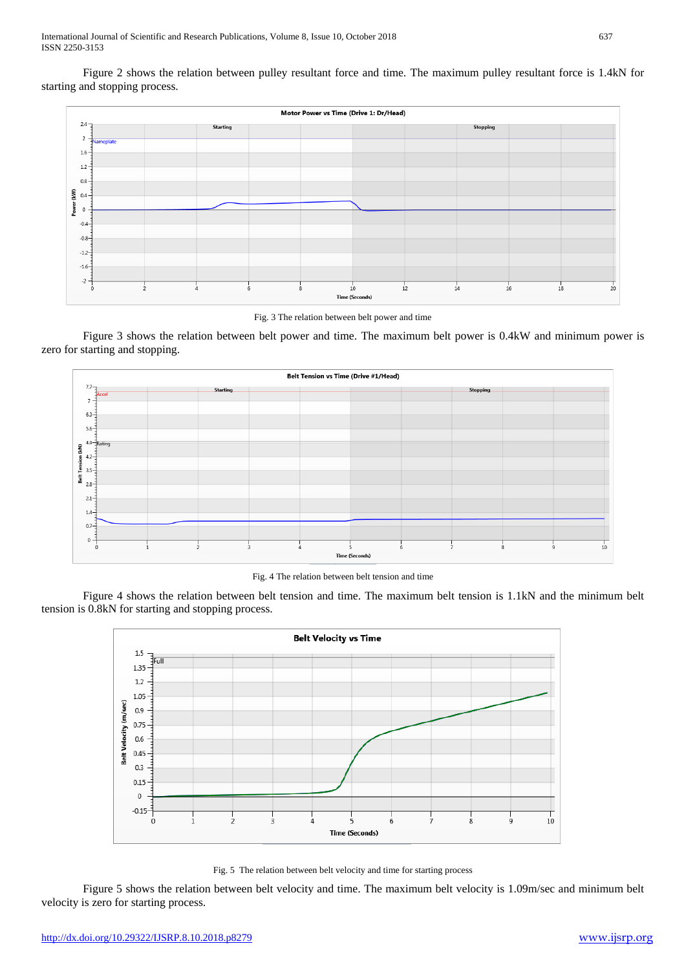Figure 2 shows the relation between pulley resultant force and time. The maximum pulley resultant force is 1.4kN for starting and stopping process.



Fig. 3 The relation between belt power and time

Figure 3 shows the relation between belt power and time. The maximum belt power is 0.4kW and minimum power is zero for starting and stopping.



Fig. 4 The relation between belt tension and time

Figure 4 shows the relation between belt tension and time. The maximum belt tension is 1.1kN and the minimum belt tension is 0.8kN for starting and stopping process.



Fig. 5 The relation between belt velocity and time for starting process

Figure 5 shows the relation between belt velocity and time. The maximum belt velocity is 1.09m/sec and minimum belt velocity is zero for starting process.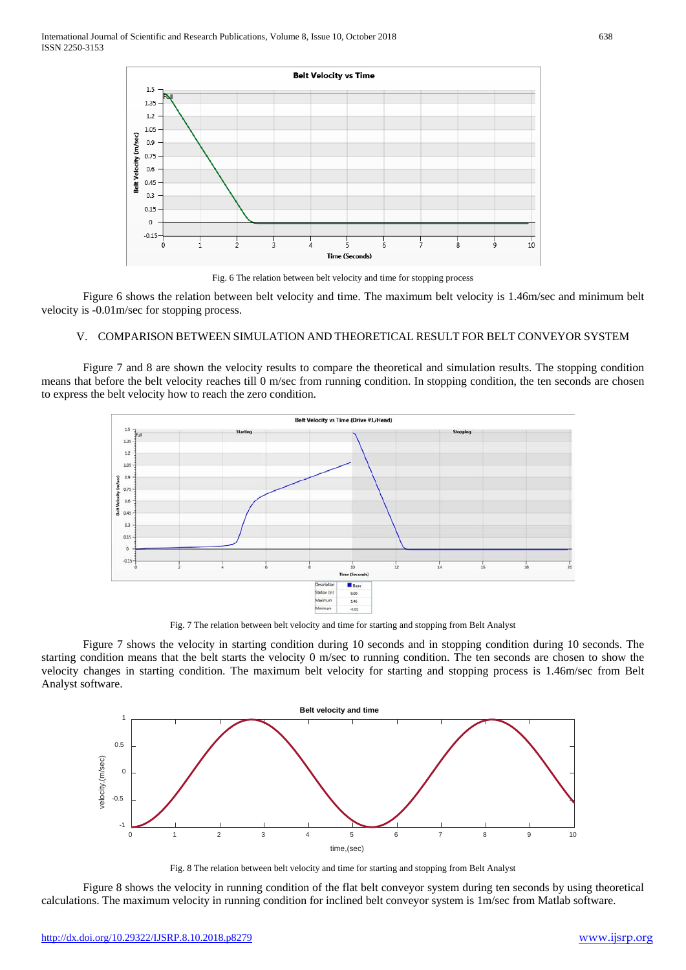

Fig. 6 The relation between belt velocity and time for stopping process

Figure 6 shows the relation between belt velocity and time. The maximum belt velocity is 1.46m/sec and minimum belt velocity is -0.01m/sec for stopping process.

#### V. COMPARISON BETWEEN SIMULATION AND THEORETICAL RESULT FOR BELT CONVEYOR SYSTEM

Figure 7 and 8 are shown the velocity results to compare the theoretical and simulation results. The stopping condition means that before the belt velocity reaches till 0 m/sec from running condition. In stopping condition, the ten seconds are chosen to express the belt velocity how to reach the zero condition.



Fig. 7 The relation between belt velocity and time for starting and stopping from Belt Analyst

Figure 7 shows the velocity in starting condition during 10 seconds and in stopping condition during 10 seconds. The starting condition means that the belt starts the velocity 0 m/sec to running condition. The ten seconds are chosen to show the velocity changes in starting condition. The maximum belt velocity for starting and stopping process is 1.46m/sec from Belt Analyst software.



Fig. 8 The relation between belt velocity and time for starting and stopping from Belt Analyst

Figure 8 shows the velocity in running condition of the flat belt conveyor system during ten seconds by using theoretical calculations. The maximum velocity in running condition for inclined belt conveyor system is 1m/sec from Matlab software.